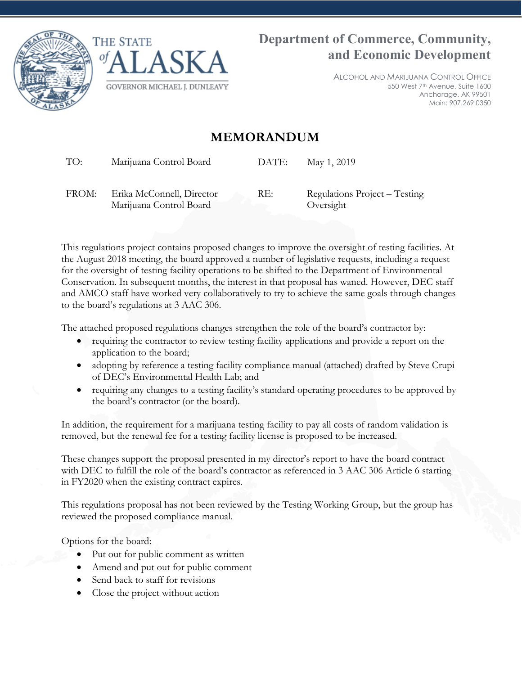



ALCOHOL AND MARIJUANA CONTROL OFFICE 550 West 7th Avenue, Suite 1600 Anchorage, AK 99501 Main: 907.269.0350

## **MEMORANDUM**

TO: Marijuana Control Board DATE: May 1, 2019

FROM: Erika McConnell, Director Marijuana Control Board RE: Regulations Project – Testing Oversight

This regulations project contains proposed changes to improve the oversight of testing facilities. At the August 2018 meeting, the board approved a number of legislative requests, including a request for the oversight of testing facility operations to be shifted to the Department of Environmental Conservation. In subsequent months, the interest in that proposal has waned. However, DEC staff and AMCO staff have worked very collaboratively to try to achieve the same goals through changes to the board's regulations at 3 AAC 306.

The attached proposed regulations changes strengthen the role of the board's contractor by:

- requiring the contractor to review testing facility applications and provide a report on the application to the board;
- adopting by reference a testing facility compliance manual (attached) drafted by Steve Crupi of DEC's Environmental Health Lab; and
- requiring any changes to a testing facility's standard operating procedures to be approved by the board's contractor (or the board).

In addition, the requirement for a marijuana testing facility to pay all costs of random validation is removed, but the renewal fee for a testing facility license is proposed to be increased.

These changes support the proposal presented in my director's report to have the board contract with DEC to fulfill the role of the board's contractor as referenced in 3 AAC 306 Article 6 starting in FY2020 when the existing contract expires.

This regulations proposal has not been reviewed by the Testing Working Group, but the group has reviewed the proposed compliance manual.

Options for the board:

- Put out for public comment as written
- Amend and put out for public comment
- Send back to staff for revisions
- Close the project without action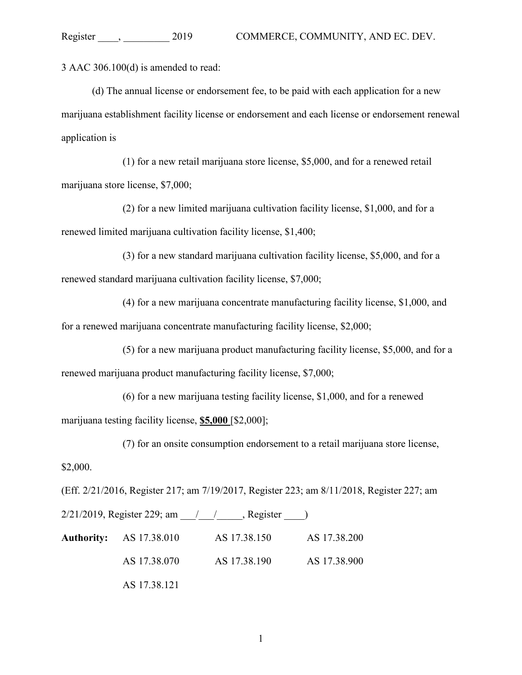3 AAC 306.100(d) is amended to read:

(d) The annual license or endorsement fee, to be paid with each application for a new marijuana establishment facility license or endorsement and each license or endorsement renewal application is

(1) for a new retail marijuana store license, \$5,000, and for a renewed retail marijuana store license, \$7,000;

(2) for a new limited marijuana cultivation facility license, \$1,000, and for a renewed limited marijuana cultivation facility license, \$1,400;

(3) for a new standard marijuana cultivation facility license, \$5,000, and for a renewed standard marijuana cultivation facility license, \$7,000;

(4) for a new marijuana concentrate manufacturing facility license, \$1,000, and for a renewed marijuana concentrate manufacturing facility license, \$2,000;

(5) for a new marijuana product manufacturing facility license, \$5,000, and for a renewed marijuana product manufacturing facility license, \$7,000;

(6) for a new marijuana testing facility license, \$1,000, and for a renewed marijuana testing facility license, **\$5,000** [\$2,000];

(7) for an onsite consumption endorsement to a retail marijuana store license,

\$2,000.

(Eff. 2/21/2016, Register 217; am 7/19/2017, Register 223; am 8/11/2018, Register 227; am

2/21/2019, Register 229; am \_\_\_/\_\_\_\_\_\_\_, Register \_\_\_\_\_) **Authority:** AS 17.38.010 AS 17.38.150 AS 17.38.200

AS 17.38.070 AS 17.38.190 AS 17.38.900 AS 17.38.121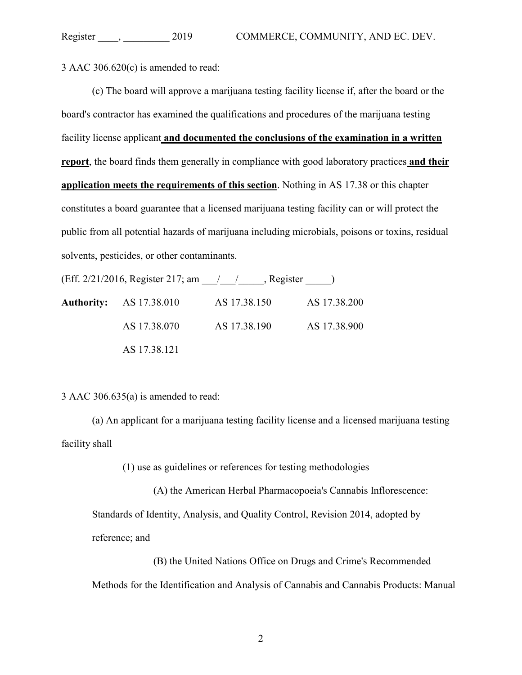3 AAC 306.620(c) is amended to read:

(c) The board will approve a marijuana testing facility license if, after the board or the board's contractor has examined the qualifications and procedures of the marijuana testing facility license applicant **and documented the conclusions of the examination in a written report**, the board finds them generally in compliance with good laboratory practices **and their application meets the requirements of this section**. Nothing in AS 17.38 or this chapter constitutes a board guarantee that a licensed marijuana testing facility can or will protect the public from all potential hazards of marijuana including microbials, poisons or toxins, residual solvents, pesticides, or other contaminants.

(Eff. 2/21/2016, Register 217; am \_\_\_/\_\_\_/\_\_\_\_\_, Register \_\_\_\_\_) **Authority:** AS 17.38.010 AS 17.38.150 AS 17.38.200 AS 17.38.070 AS 17.38.190 AS 17.38.900 AS 17.38.121

3 AAC 306.635(a) is amended to read:

(a) An applicant for a marijuana testing facility license and a licensed marijuana testing facility shall

(1) use as guidelines or references for testing methodologies

(A) the American Herbal Pharmacopoeia's Cannabis Inflorescence:

Standards of Identity, Analysis, and Quality Control, Revision 2014, adopted by reference; and

(B) the United Nations Office on Drugs and Crime's Recommended Methods for the Identification and Analysis of Cannabis and Cannabis Products: Manual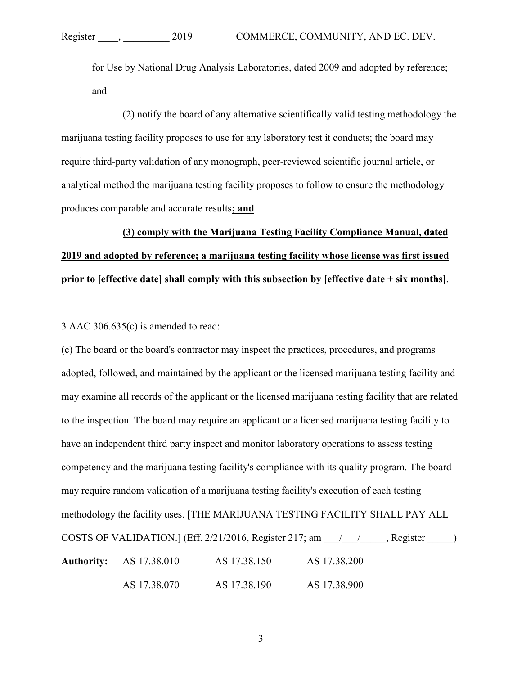for Use by National Drug Analysis Laboratories, dated 2009 and adopted by reference; and

(2) notify the board of any alternative scientifically valid testing methodology the marijuana testing facility proposes to use for any laboratory test it conducts; the board may require third-party validation of any monograph, peer-reviewed scientific journal article, or analytical method the marijuana testing facility proposes to follow to ensure the methodology produces comparable and accurate results**; and**

# **(3) comply with the Marijuana Testing Facility Compliance Manual, dated 2019 and adopted by reference; a marijuana testing facility whose license was first issued prior to [effective date] shall comply with this subsection by [effective date + six months]**.

#### 3 AAC 306.635(c) is amended to read:

(c) The board or the board's contractor may inspect the practices, procedures, and programs adopted, followed, and maintained by the applicant or the licensed marijuana testing facility and may examine all records of the applicant or the licensed marijuana testing facility that are related to the inspection. The board may require an applicant or a licensed marijuana testing facility to have an independent third party inspect and monitor laboratory operations to assess testing competency and the marijuana testing facility's compliance with its quality program. The board may require random validation of a marijuana testing facility's execution of each testing methodology the facility uses. [THE MARIJUANA TESTING FACILITY SHALL PAY ALL COSTS OF VALIDATION.] (Eff.  $2/21/2016$ , Register 217; am  $\qquad / \qquad$ , Register  $\qquad$  ) **Authority:** AS 17.38.010 AS 17.38.150 AS 17.38.200 AS 17.38.070 AS 17.38.190 AS 17.38.900

3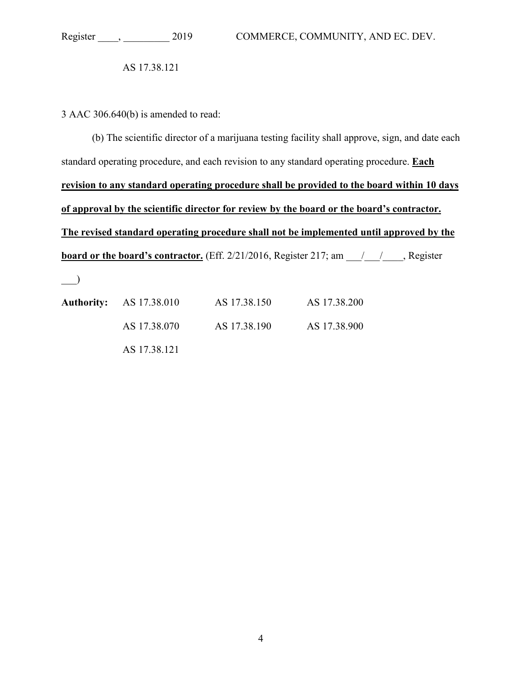AS 17.38.121

3 AAC 306.640(b) is amended to read:

(b) The scientific director of a marijuana testing facility shall approve, sign, and date each standard operating procedure, and each revision to any standard operating procedure. **Each revision to any standard operating procedure shall be provided to the board within 10 days of approval by the scientific director for review by the board or the board's contractor. The revised standard operating procedure shall not be implemented until approved by the board or the board's contractor.** (Eff. 2/21/2016, Register 217; am  $\frac{1}{\sqrt{2}}$ , Register

 $\overline{\phantom{a}}$ 

| <b>Authority:</b> AS 17.38.010 | AS 17.38.150 | AS 17.38.200 |
|--------------------------------|--------------|--------------|
| AS 17.38.070                   | AS 17.38.190 | AS 17.38.900 |
| AS 17.38.121                   |              |              |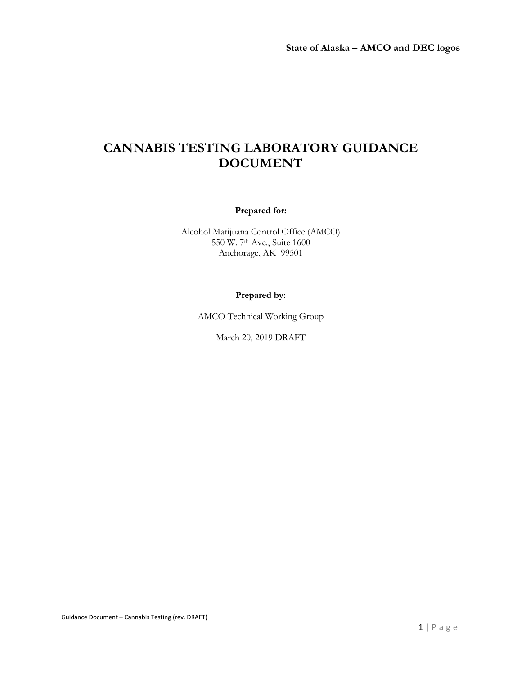## **CANNABIS TESTING LABORATORY GUIDANCE DOCUMENT**

#### **Prepared for:**

Alcohol Marijuana Control Office (AMCO) 550 W. 7th Ave., Suite 1600 Anchorage, AK 99501

#### **Prepared by:**

AMCO Technical Working Group

March 20, 2019 DRAFT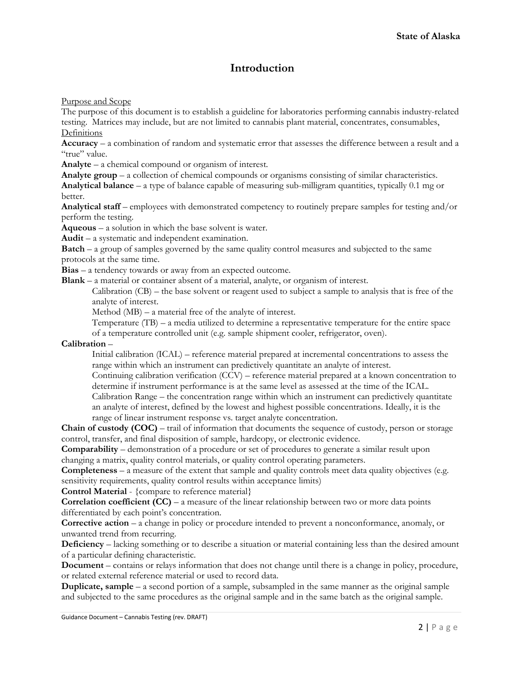## **Introduction**

Purpose and Scope

The purpose of this document is to establish a guideline for laboratories performing cannabis industry-related testing. Matrices may include, but are not limited to cannabis plant material, concentrates, consumables, Definitions

**Accuracy** – a combination of random and systematic error that assesses the difference between a result and a "true" value.

**Analyte** – a chemical compound or organism of interest.

**Analyte group** – a collection of chemical compounds or organisms consisting of similar characteristics.

**Analytical balance** – a type of balance capable of measuring sub-milligram quantities, typically 0.1 mg or better.

**Analytical staff** – employees with demonstrated competency to routinely prepare samples for testing and/or perform the testing.

**Aqueous** – a solution in which the base solvent is water.

**Audit** – a systematic and independent examination.

**Batch** – a group of samples governed by the same quality control measures and subjected to the same protocols at the same time.

**Bias** – a tendency towards or away from an expected outcome.

**Blank** – a material or container absent of a material, analyte, or organism of interest.

Calibration (CB) – the base solvent or reagent used to subject a sample to analysis that is free of the analyte of interest.

Method (MB) – a material free of the analyte of interest.

Temperature (TB) – a media utilized to determine a representative temperature for the entire space of a temperature controlled unit (e.g. sample shipment cooler, refrigerator, oven).

#### **Calibration** –

Initial calibration (ICAL) – reference material prepared at incremental concentrations to assess the range within which an instrument can predictively quantitate an analyte of interest.

Continuing calibration verification (CCV) – reference material prepared at a known concentration to determine if instrument performance is at the same level as assessed at the time of the ICAL.

Calibration Range – the concentration range within which an instrument can predictively quantitate an analyte of interest, defined by the lowest and highest possible concentrations. Ideally, it is the range of linear instrument response vs. target analyte concentration.

**Chain of custody (COC)** – trail of information that documents the sequence of custody, person or storage control, transfer, and final disposition of sample, hardcopy, or electronic evidence.

**Comparability** – demonstration of a procedure or set of procedures to generate a similar result upon changing a matrix, quality control materials, or quality control operating parameters.

**Completeness** – a measure of the extent that sample and quality controls meet data quality objectives (e.g. sensitivity requirements, quality control results within acceptance limits)

**Control Material** - {compare to reference material}

**Correlation coefficient (CC)** – a measure of the linear relationship between two or more data points differentiated by each point's concentration.

**Corrective action** – a change in policy or procedure intended to prevent a nonconformance, anomaly, or unwanted trend from recurring.

**Deficiency** – lacking something or to describe a situation or material containing less than the desired amount of a particular defining characteristic.

**Document** – contains or relays information that does not change until there is a change in policy, procedure, or related external reference material or used to record data.

**Duplicate, sample** – a second portion of a sample, subsampled in the same manner as the original sample and subjected to the same procedures as the original sample and in the same batch as the original sample.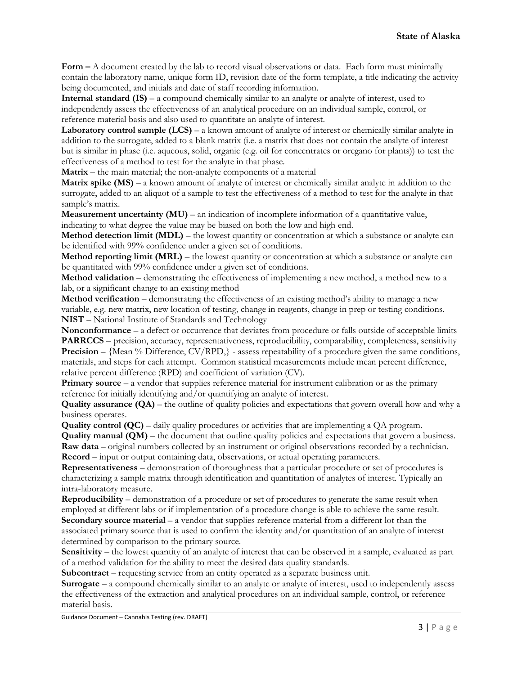**Form –** A document created by the lab to record visual observations or data. Each form must minimally contain the laboratory name, unique form ID, revision date of the form template, a title indicating the activity being documented, and initials and date of staff recording information.

**Internal standard (IS)** – a compound chemically similar to an analyte or analyte of interest, used to independently assess the effectiveness of an analytical procedure on an individual sample, control, or reference material basis and also used to quantitate an analyte of interest.

**Laboratory control sample (LCS)** – a known amount of analyte of interest or chemically similar analyte in addition to the surrogate, added to a blank matrix (i.e. a matrix that does not contain the analyte of interest but is similar in phase (i.e. aqueous, solid, organic (e.g. oil for concentrates or oregano for plants)) to test the effectiveness of a method to test for the analyte in that phase.

**Matrix** – the main material; the non-analyte components of a material

**Matrix spike (MS)** – a known amount of analyte of interest or chemically similar analyte in addition to the surrogate, added to an aliquot of a sample to test the effectiveness of a method to test for the analyte in that sample's matrix.

**Measurement uncertainty (MU)** – an indication of incomplete information of a quantitative value, indicating to what degree the value may be biased on both the low and high end.

**Method detection limit (MDL)** – the lowest quantity or concentration at which a substance or analyte can be identified with 99% confidence under a given set of conditions.

**Method reporting limit (MRL)** – the lowest quantity or concentration at which a substance or analyte can be quantitated with 99% confidence under a given set of conditions.

**Method validation** – demonstrating the effectiveness of implementing a new method, a method new to a lab, or a significant change to an existing method

**Method verification** – demonstrating the effectiveness of an existing method's ability to manage a new variable, e.g. new matrix, new location of testing, change in reagents, change in prep or testing conditions. **NIST** – National Institute of Standards and Technology

**Nonconformance** – a defect or occurrence that deviates from procedure or falls outside of acceptable limits **PARRCCS** – precision, accuracy, representativeness, reproducibility, comparability, completeness, sensitivity **Precision** – {Mean % Difference, CV/RPD,} - assess repeatability of a procedure given the same conditions, materials, and steps for each attempt. Common statistical measurements include mean percent difference, relative percent difference (RPD) and coefficient of variation (CV).

**Primary source** – a vendor that supplies reference material for instrument calibration or as the primary reference for initially identifying and/or quantifying an analyte of interest.

**Quality assurance (QA)** – the outline of quality policies and expectations that govern overall how and why a business operates.

**Quality control (QC)** – daily quality procedures or activities that are implementing a QA program.

**Quality manual (QM)** – the document that outline quality policies and expectations that govern a business. **Raw data** – original numbers collected by an instrument or original observations recorded by a technician. **Record** – input or output containing data, observations, or actual operating parameters.

**Representativeness** – demonstration of thoroughness that a particular procedure or set of procedures is characterizing a sample matrix through identification and quantitation of analytes of interest. Typically an intra-laboratory measure.

**Reproducibility** – demonstration of a procedure or set of procedures to generate the same result when employed at different labs or if implementation of a procedure change is able to achieve the same result. **Secondary source material** – a vendor that supplies reference material from a different lot than the associated primary source that is used to confirm the identity and/or quantitation of an analyte of interest determined by comparison to the primary source.

**Sensitivity** – the lowest quantity of an analyte of interest that can be observed in a sample, evaluated as part of a method validation for the ability to meet the desired data quality standards.

**Subcontract** – requesting service from an entity operated as a separate business unit.

**Surrogate** – a compound chemically similar to an analyte or analyte of interest, used to independently assess the effectiveness of the extraction and analytical procedures on an individual sample, control, or reference material basis.

Guidance Document – Cannabis Testing (rev. DRAFT)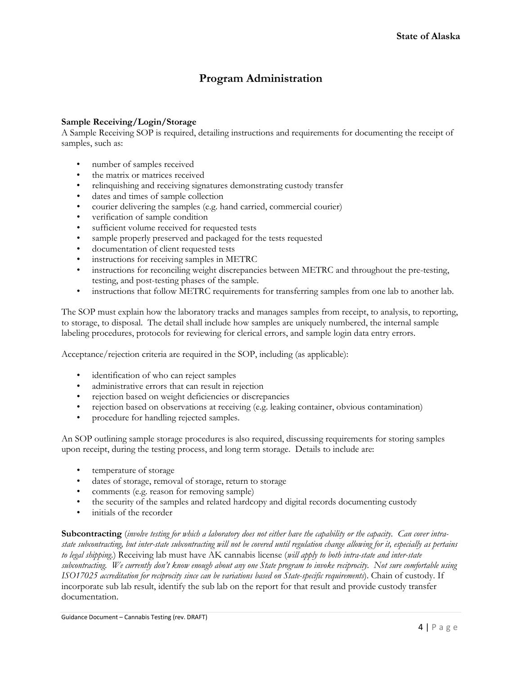## **Program Administration**

#### **Sample Receiving/Login/Storage**

A Sample Receiving SOP is required, detailing instructions and requirements for documenting the receipt of samples, such as:

- number of samples received
- the matrix or matrices received
- relinquishing and receiving signatures demonstrating custody transfer
- dates and times of sample collection
- courier delivering the samples (e.g. hand carried, commercial courier)
- verification of sample condition
- sufficient volume received for requested tests
- sample properly preserved and packaged for the tests requested
- documentation of client requested tests
- instructions for receiving samples in METRC
- instructions for reconciling weight discrepancies between METRC and throughout the pre-testing, testing, and post-testing phases of the sample.
- instructions that follow METRC requirements for transferring samples from one lab to another lab.

The SOP must explain how the laboratory tracks and manages samples from receipt, to analysis, to reporting, to storage, to disposal. The detail shall include how samples are uniquely numbered, the internal sample labeling procedures, protocols for reviewing for clerical errors, and sample login data entry errors.

Acceptance/rejection criteria are required in the SOP, including (as applicable):

- identification of who can reject samples
- administrative errors that can result in rejection
- rejection based on weight deficiencies or discrepancies
- rejection based on observations at receiving (e.g. leaking container, obvious contamination)
- procedure for handling rejected samples.

An SOP outlining sample storage procedures is also required, discussing requirements for storing samples upon receipt, during the testing process, and long term storage. Details to include are:

- temperature of storage
- dates of storage, removal of storage, return to storage
- comments (e.g. reason for removing sample)
- the security of the samples and related hardcopy and digital records documenting custody
- initials of the recorder

**Subcontracting** (*involve testing for which a laboratory does not either have the capability or the capacity. Can cover intrastate subcontracting, but inter-state subcontracting will not be covered until regulation change allowing for it, especially as pertains to legal shipping*.) Receiving lab must have AK cannabis license (*will apply to both intra-state and inter-state subcontracting. We currently don't know enough about any one State program to invoke reciprocity. Not sure comfortable using ISO17025 accreditation for reciprocity since can be variations based on State-specific requirements*). Chain of custody. If incorporate sub lab result, identify the sub lab on the report for that result and provide custody transfer documentation.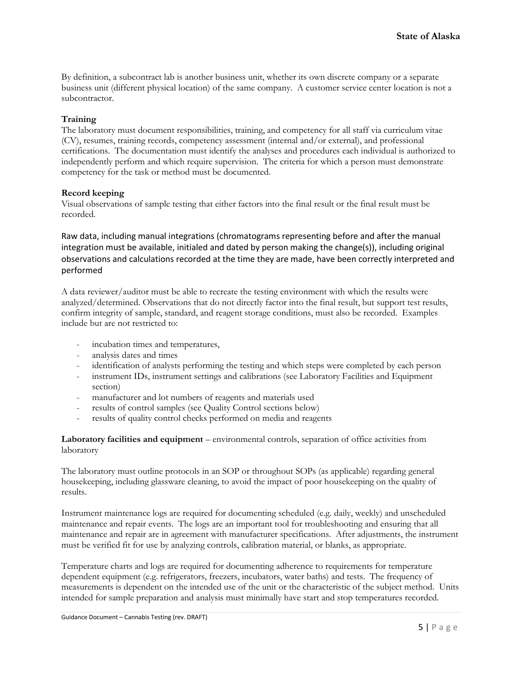By definition, a subcontract lab is another business unit, whether its own discrete company or a separate business unit (different physical location) of the same company. A customer service center location is not a subcontractor.

#### **Training**

The laboratory must document responsibilities, training, and competency for all staff via curriculum vitae (CV), resumes, training records, competency assessment (internal and/or external), and professional certifications. The documentation must identify the analyses and procedures each individual is authorized to independently perform and which require supervision. The criteria for which a person must demonstrate competency for the task or method must be documented.

#### **Record keeping**

Visual observations of sample testing that either factors into the final result or the final result must be recorded.

Raw data, including manual integrations (chromatograms representing before and after the manual integration must be available, initialed and dated by person making the change(s)), including original observations and calculations recorded at the time they are made, have been correctly interpreted and performed

A data reviewer/auditor must be able to recreate the testing environment with which the results were analyzed/determined. Observations that do not directly factor into the final result, but support test results, confirm integrity of sample, standard, and reagent storage conditions, must also be recorded. Examples include but are not restricted to:

- incubation times and temperatures,
- analysis dates and times
- identification of analysts performing the testing and which steps were completed by each person
- instrument IDs, instrument settings and calibrations (see Laboratory Facilities and Equipment section)
- manufacturer and lot numbers of reagents and materials used
- results of control samples (see Quality Control sections below)
- results of quality control checks performed on media and reagents

**Laboratory facilities and equipment** – environmental controls, separation of office activities from laboratory

The laboratory must outline protocols in an SOP or throughout SOPs (as applicable) regarding general housekeeping, including glassware cleaning, to avoid the impact of poor housekeeping on the quality of results.

Instrument maintenance logs are required for documenting scheduled (e.g. daily, weekly) and unscheduled maintenance and repair events. The logs are an important tool for troubleshooting and ensuring that all maintenance and repair are in agreement with manufacturer specifications. After adjustments, the instrument must be verified fit for use by analyzing controls, calibration material, or blanks, as appropriate.

Temperature charts and logs are required for documenting adherence to requirements for temperature dependent equipment (e.g. refrigerators, freezers, incubators, water baths) and tests. The frequency of measurements is dependent on the intended use of the unit or the characteristic of the subject method. Units intended for sample preparation and analysis must minimally have start and stop temperatures recorded.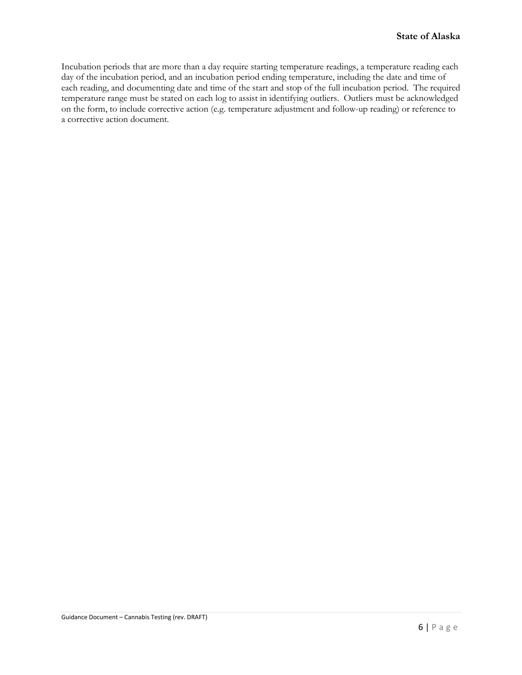Incubation periods that are more than a day require starting temperature readings, a temperature reading each day of the incubation period, and an incubation period ending temperature, including the date and time of each reading, and documenting date and time of the start and stop of the full incubation period. The required temperature range must be stated on each log to assist in identifying outliers. Outliers must be acknowledged on the form, to include corrective action (e.g. temperature adjustment and follow-up reading) or reference to a corrective action document.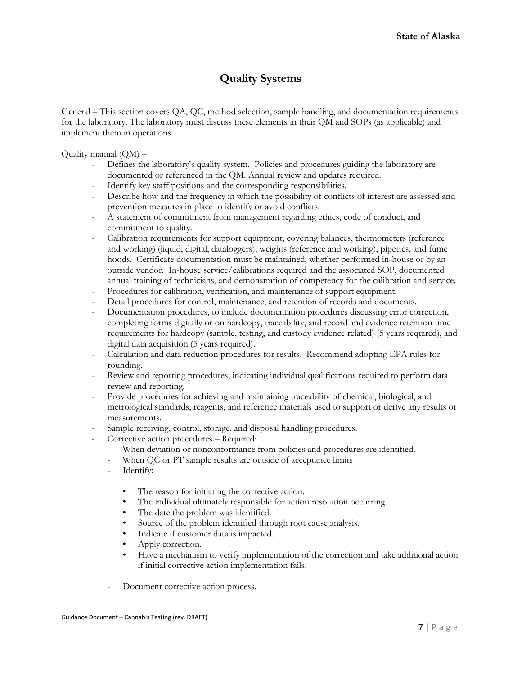## **Quality Systems**

General – This section covers QA, QC, method selection, sample handling, and documentation requirements for the laboratory. The laboratory must discuss these elements in their QM and SOPs (as applicable) and implement them in operations.

Quality manual (QM) –

- Defines the laboratory's quality system. Policies and procedures guiding the laboratory are documented or referenced in the QM. Annual review and updates required.
- Identify key staff positions and the corresponding responsibilities.
- Describe how and the frequency in which the possibility of conflicts of interest are assessed and prevention measures in place to identify or avoid conflicts.
- A statement of commitment from management regarding ethics, code of conduct, and commitment to quality.
- Calibration requirements for support equipment, covering balances, thermometers (reference and working) (liquid, digital, dataloggers), weights (reference and working), pipettes, and fume hoods. Certificate documentation must be maintained, whether performed in-house or by an outside vendor. In-house service/calibrations required and the associated SOP, documented annual training of technicians, and demonstration of competency for the calibration and service.
- Procedures for calibration, verification, and maintenance of support equipment.
- Detail procedures for control, maintenance, and retention of records and documents.
- Documentation procedures, to include documentation procedures discussing error correction, completing forms digitally or on hardcopy, traceability, and record and evidence retention time requirements for hardcopy (sample, testing, and custody evidence related) (5 years required), and digital data acquisition (5 years required).
- Calculation and data reduction procedures for results. Recommend adopting EPA rules for rounding.
- Review and reporting procedures, indicating individual qualifications required to perform data review and reporting.
- Provide procedures for achieving and maintaining traceability of chemical, biological, and metrological standards, reagents, and reference materials used to support or derive any results or measurements.
- Sample receiving, control, storage, and disposal handling procedures.
- Corrective action procedures Required:
	- When deviation or nonconformance from policies and procedures are identified.
	- When QC or PT sample results are outside of acceptance limits
	- Identify:
		- The reason for initiating the corrective action.
		- The individual ultimately responsible for action resolution occurring.
		- The date the problem was identified.
		- Source of the problem identified through root cause analysis.
		- Indicate if customer data is impacted.
		- Apply correction.
		- Have a mechanism to verify implementation of the correction and take additional action if initial corrective action implementation fails.
	- Document corrective action process.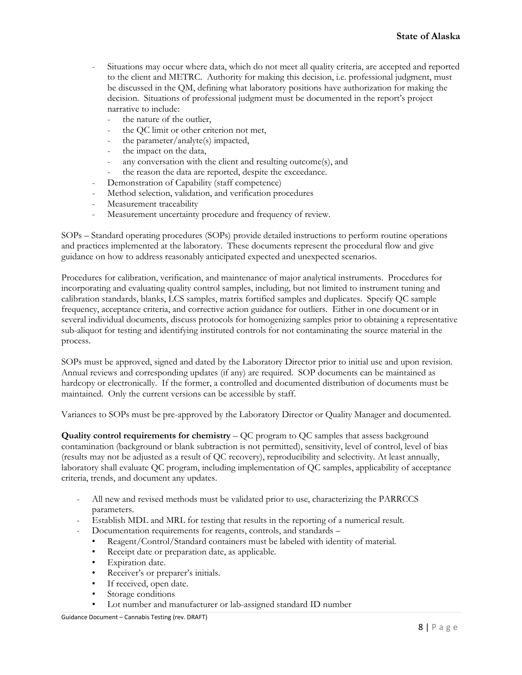- Situations may occur where data, which do not meet all quality criteria, are accepted and reported to the client and METRC. Authority for making this decision, i.e. professional judgment, must be discussed in the QM, defining what laboratory positions have authorization for making the decision. Situations of professional judgment must be documented in the report's project narrative to include:
	- the nature of the outlier.
	- the QC limit or other criterion not met,
	- the parameter/analyte(s) impacted,
	- the impact on the data,
	- any conversation with the client and resulting outcome(s), and
	- the reason the data are reported, despite the exceedance.
	- Demonstration of Capability (staff competence)
- Method selection, validation, and verification procedures
- Measurement traceability
- Measurement uncertainty procedure and frequency of review.

SOPs – Standard operating procedures (SOPs) provide detailed instructions to perform routine operations and practices implemented at the laboratory. These documents represent the procedural flow and give guidance on how to address reasonably anticipated expected and unexpected scenarios.

Procedures for calibration, verification, and maintenance of major analytical instruments. Procedures for incorporating and evaluating quality control samples, including, but not limited to instrument tuning and calibration standards, blanks, LCS samples, matrix fortified samples and duplicates. Specify QC sample frequency, acceptance criteria, and corrective action guidance for outliers. Either in one document or in several individual documents, discuss protocols for homogenizing samples prior to obtaining a representative sub-aliquot for testing and identifying instituted controls for not contaminating the source material in the process.

SOPs must be approved, signed and dated by the Laboratory Director prior to initial use and upon revision. Annual reviews and corresponding updates (if any) are required. SOP documents can be maintained as hardcopy or electronically. If the former, a controlled and documented distribution of documents must be maintained. Only the current versions can be accessible by staff.

Variances to SOPs must be pre-approved by the Laboratory Director or Quality Manager and documented.

**Quality control requirements for chemistry** – QC program to QC samples that assess background contamination (background or blank subtraction is not permitted), sensitivity, level of control, level of bias (results may not be adjusted as a result of QC recovery), reproducibility and selectivity. At least annually, laboratory shall evaluate QC program, including implementation of QC samples, applicability of acceptance criteria, trends, and document any updates.

- All new and revised methods must be validated prior to use, characterizing the PARRCCS parameters.
- Establish MDL and MRL for testing that results in the reporting of a numerical result.
	- Documentation requirements for reagents, controls, and standards
		- Reagent/Control/Standard containers must be labeled with identity of material.
		- Receipt date or preparation date, as applicable.
		- Expiration date.
		- Receiver's or preparer's initials.
		- If received, open date.
		- Storage conditions
		- Lot number and manufacturer or lab-assigned standard ID number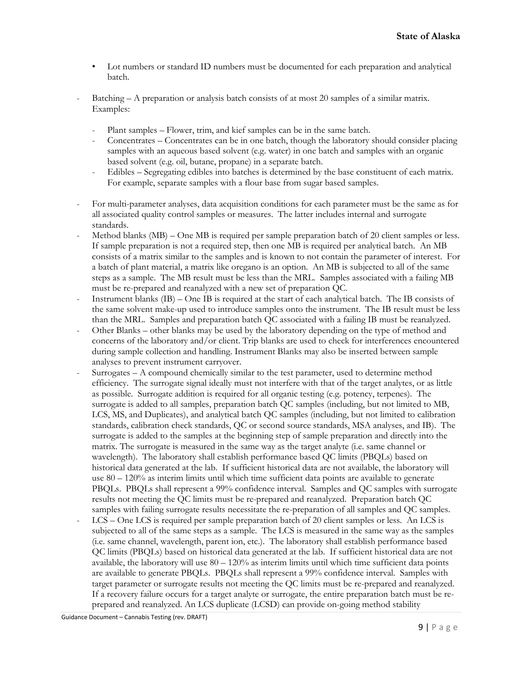- Lot numbers or standard ID numbers must be documented for each preparation and analytical batch.
- Batching A preparation or analysis batch consists of at most 20 samples of a similar matrix. Examples:
	- Plant samples Flower, trim, and kief samples can be in the same batch.
	- Concentrates Concentrates can be in one batch, though the laboratory should consider placing samples with an aqueous based solvent (e.g. water) in one batch and samples with an organic based solvent (e.g. oil, butane, propane) in a separate batch.
	- Edibles Segregating edibles into batches is determined by the base constituent of each matrix. For example, separate samples with a flour base from sugar based samples.
- For multi-parameter analyses, data acquisition conditions for each parameter must be the same as for all associated quality control samples or measures. The latter includes internal and surrogate standards.
- Method blanks  $(MB)$  One MB is required per sample preparation batch of 20 client samples or less. If sample preparation is not a required step, then one MB is required per analytical batch. An MB consists of a matrix similar to the samples and is known to not contain the parameter of interest. For a batch of plant material, a matrix like oregano is an option. An MB is subjected to all of the same steps as a sample. The MB result must be less than the MRL. Samples associated with a failing MB must be re-prepared and reanalyzed with a new set of preparation QC.
- Instrument blanks (IB) One IB is required at the start of each analytical batch. The IB consists of the same solvent make-up used to introduce samples onto the instrument. The IB result must be less than the MRL. Samples and preparation batch QC associated with a failing IB must be reanalyzed.
- Other Blanks other blanks may be used by the laboratory depending on the type of method and concerns of the laboratory and/or client. Trip blanks are used to check for interferences encountered during sample collection and handling. Instrument Blanks may also be inserted between sample analyses to prevent instrument carryover.
- Surrogates  $A$  compound chemically similar to the test parameter, used to determine method efficiency. The surrogate signal ideally must not interfere with that of the target analytes, or as little as possible. Surrogate addition is required for all organic testing (e.g. potency, terpenes). The surrogate is added to all samples, preparation batch QC samples (including, but not limited to MB, LCS, MS, and Duplicates), and analytical batch QC samples (including, but not limited to calibration standards, calibration check standards, QC or second source standards, MSA analyses, and IB). The surrogate is added to the samples at the beginning step of sample preparation and directly into the matrix. The surrogate is measured in the same way as the target analyte (i.e. same channel or wavelength). The laboratory shall establish performance based QC limits (PBQLs) based on historical data generated at the lab. If sufficient historical data are not available, the laboratory will use 80 – 120% as interim limits until which time sufficient data points are available to generate PBQLs. PBQLs shall represent a 99% confidence interval. Samples and QC samples with surrogate results not meeting the QC limits must be re-prepared and reanalyzed. Preparation batch QC samples with failing surrogate results necessitate the re-preparation of all samples and QC samples.
- LCS One LCS is required per sample preparation batch of 20 client samples or less. An LCS is subjected to all of the same steps as a sample. The LCS is measured in the same way as the samples (i.e. same channel, wavelength, parent ion, etc.). The laboratory shall establish performance based QC limits (PBQLs) based on historical data generated at the lab. If sufficient historical data are not available, the laboratory will use  $80 - 120\%$  as interim limits until which time sufficient data points are available to generate PBQLs. PBQLs shall represent a 99% confidence interval. Samples with target parameter or surrogate results not meeting the QC limits must be re-prepared and reanalyzed. If a recovery failure occurs for a target analyte or surrogate, the entire preparation batch must be reprepared and reanalyzed. An LCS duplicate (LCSD) can provide on-going method stability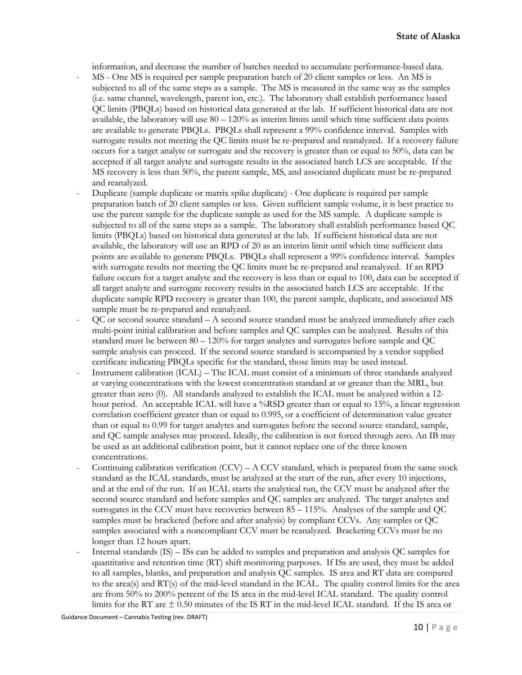information, and decrease the number of batches needed to accumulate performance-based data.

- MS One MS is required per sample preparation batch of 20 client samples or less. An MS is subjected to all of the same steps as a sample. The MS is measured in the same way as the samples (i.e. same channel, wavelength, parent ion, etc.). The laboratory shall establish performance based QC limits (PBQLs) based on historical data generated at the lab. If sufficient historical data are not available, the laboratory will use  $80 - 120\%$  as interim limits until which time sufficient data points are available to generate PBQLs. PBQLs shall represent a 99% confidence interval. Samples with surrogate results not meeting the QC limits must be re-prepared and reanalyzed. If a recovery failure occurs for a target analyte or surrogate and the recovery is greater than or equal to 50%, data can be accepted if all target analyte and surrogate results in the associated batch LCS are acceptable. If the MS recovery is less than 50%, the parent sample, MS, and associated duplicate must be re-prepared and reanalyzed.
- Duplicate (sample duplicate or matrix spike duplicate) One duplicate is required per sample preparation batch of 20 client samples or less. Given sufficient sample volume, it is best practice to use the parent sample for the duplicate sample as used for the MS sample. A duplicate sample is subjected to all of the same steps as a sample. The laboratory shall establish performance based QC limits (PBQLs) based on historical data generated at the lab. If sufficient historical data are not available, the laboratory will use an RPD of 20 as an interim limit until which time sufficient data points are available to generate PBQLs. PBQLs shall represent a 99% confidence interval. Samples with surrogate results not meeting the QC limits must be re-prepared and reanalyzed. If an RPD failure occurs for a target analyte and the recovery is less than or equal to 100, data can be accepted if all target analyte and surrogate recovery results in the associated batch LCS are acceptable. If the duplicate sample RPD recovery is greater than 100, the parent sample, duplicate, and associated MS sample must be re-prepared and reanalyzed.
- $\overline{OC}$  or second source standard A second source standard must be analyzed immediately after each multi-point initial calibration and before samples and QC samples can be analyzed. Results of this standard must be between 80 – 120% for target analytes and surrogates before sample and QC sample analysis can proceed. If the second source standard is accompanied by a vendor supplied certificate indicating PBQLs specific for the standard, those limits may be used instead.
- Instrument calibration (ICAL) The ICAL must consist of a minimum of three standards analyzed at varying concentrations with the lowest concentration standard at or greater than the MRL, but greater than zero (0). All standards analyzed to establish the ICAL must be analyzed within a 12 hour period. An acceptable ICAL will have a %RSD greater than or equal to 15%, a linear regression correlation coefficient greater than or equal to 0.995, or a coefficient of determination value greater than or equal to 0.99 for target analytes and surrogates before the second source standard, sample, and QC sample analyses may proceed. Ideally, the calibration is not forced through zero. An IB may be used as an additional calibration point, but it cannot replace one of the three known concentrations.
- Continuing calibration verification  $(CCV) A CCV$  standard, which is prepared from the same stock standard as the ICAL standards, must be analyzed at the start of the run, after every 10 injections, and at the end of the run. If an ICAL starts the analytical run, the CCV must be analyzed after the second source standard and before samples and QC samples are analyzed. The target analytes and surrogates in the CCV must have recoveries between 85 – 115%. Analyses of the sample and QC samples must be bracketed (before and after analysis) by compliant CCVs. Any samples or QC samples associated with a noncompliant CCV must be reanalyzed. Bracketing CCVs must be no longer than 12 hours apart.
- Internal standards (IS) ISs can be added to samples and preparation and analysis QC samples for quantitative and retention time (RT) shift monitoring purposes. If ISs are used, they must be added to all samples, blanks, and preparation and analysis QC samples. IS area and RT data are compared to the area(s) and RT(s) of the mid-level standard in the ICAL. The quality control limits for the area are from 50% to 200% percent of the IS area in the mid-level ICAL standard. The quality control limits for the RT are  $\pm$  0.50 minutes of the IS RT in the mid-level ICAL standard. If the IS area or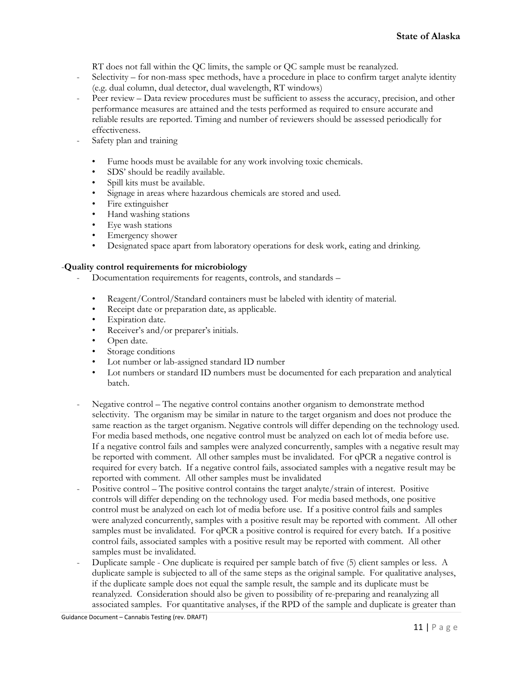RT does not fall within the QC limits, the sample or QC sample must be reanalyzed.

- Selectivity for non-mass spec methods, have a procedure in place to confirm target analyte identity (e.g. dual column, dual detector, dual wavelength, RT windows)
- Peer review Data review procedures must be sufficient to assess the accuracy, precision, and other performance measures are attained and the tests performed as required to ensure accurate and reliable results are reported. Timing and number of reviewers should be assessed periodically for effectiveness.
- Safety plan and training
	- Fume hoods must be available for any work involving toxic chemicals.
	- SDS' should be readily available.
	- Spill kits must be available.
	- Signage in areas where hazardous chemicals are stored and used.
	- Fire extinguisher
	- Hand washing stations
	- Eye wash stations
	- Emergency shower
	- Designated space apart from laboratory operations for desk work, eating and drinking.

#### -**Quality control requirements for microbiology**

- Documentation requirements for reagents, controls, and standards
	- Reagent/Control/Standard containers must be labeled with identity of material.
	- Receipt date or preparation date, as applicable.
	- **Expiration** date.
	- Receiver's and/or preparer's initials.
	- Open date.
	- Storage conditions
	- Lot number or lab-assigned standard ID number
	- Lot numbers or standard ID numbers must be documented for each preparation and analytical batch.
- Negative control The negative control contains another organism to demonstrate method selectivity. The organism may be similar in nature to the target organism and does not produce the same reaction as the target organism. Negative controls will differ depending on the technology used. For media based methods, one negative control must be analyzed on each lot of media before use. If a negative control fails and samples were analyzed concurrently, samples with a negative result may be reported with comment. All other samples must be invalidated. For qPCR a negative control is required for every batch. If a negative control fails, associated samples with a negative result may be reported with comment. All other samples must be invalidated
- Positive control The positive control contains the target analyte/strain of interest. Positive controls will differ depending on the technology used. For media based methods, one positive control must be analyzed on each lot of media before use. If a positive control fails and samples were analyzed concurrently, samples with a positive result may be reported with comment. All other samples must be invalidated. For qPCR a positive control is required for every batch. If a positive control fails, associated samples with a positive result may be reported with comment. All other samples must be invalidated.
- Duplicate sample One duplicate is required per sample batch of five (5) client samples or less. A duplicate sample is subjected to all of the same steps as the original sample. For qualitative analyses, if the duplicate sample does not equal the sample result, the sample and its duplicate must be reanalyzed. Consideration should also be given to possibility of re-preparing and reanalyzing all associated samples. For quantitative analyses, if the RPD of the sample and duplicate is greater than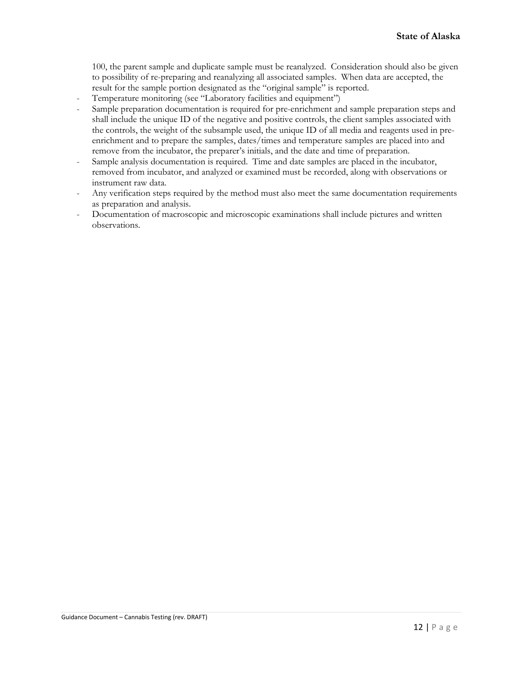100, the parent sample and duplicate sample must be reanalyzed. Consideration should also be given to possibility of re-preparing and reanalyzing all associated samples. When data are accepted, the result for the sample portion designated as the "original sample" is reported.

- Temperature monitoring (see "Laboratory facilities and equipment")
- Sample preparation documentation is required for pre-enrichment and sample preparation steps and shall include the unique ID of the negative and positive controls, the client samples associated with the controls, the weight of the subsample used, the unique ID of all media and reagents used in preenrichment and to prepare the samples, dates/times and temperature samples are placed into and remove from the incubator, the preparer's initials, and the date and time of preparation.
- Sample analysis documentation is required. Time and date samples are placed in the incubator, removed from incubator, and analyzed or examined must be recorded, along with observations or instrument raw data.
- Any verification steps required by the method must also meet the same documentation requirements as preparation and analysis.
- Documentation of macroscopic and microscopic examinations shall include pictures and written observations.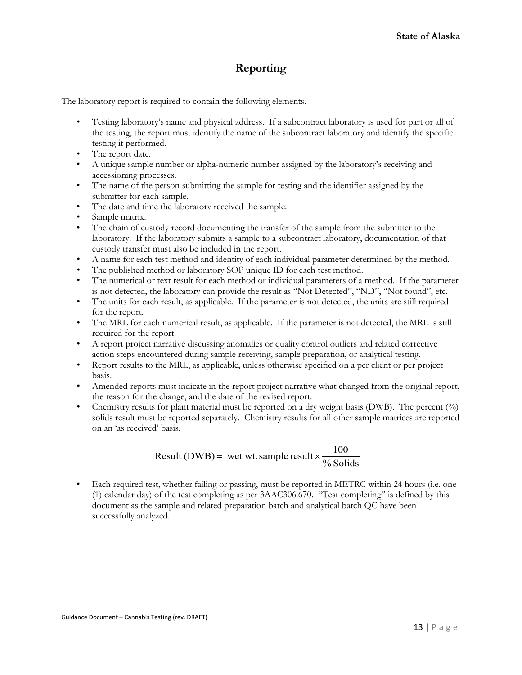## **Reporting**

The laboratory report is required to contain the following elements.

- Testing laboratory's name and physical address. If a subcontract laboratory is used for part or all of the testing, the report must identify the name of the subcontract laboratory and identify the specific testing it performed.
- The report date.
- A unique sample number or alpha-numeric number assigned by the laboratory's receiving and accessioning processes.
- The name of the person submitting the sample for testing and the identifier assigned by the submitter for each sample.
- The date and time the laboratory received the sample.
- Sample matrix.
- The chain of custody record documenting the transfer of the sample from the submitter to the laboratory. If the laboratory submits a sample to a subcontract laboratory, documentation of that custody transfer must also be included in the report.
- A name for each test method and identity of each individual parameter determined by the method.
- The published method or laboratory SOP unique ID for each test method.
- The numerical or text result for each method or individual parameters of a method. If the parameter is not detected, the laboratory can provide the result as "Not Detected", "ND", "Not found", etc.
- The units for each result, as applicable. If the parameter is not detected, the units are still required for the report.
- The MRL for each numerical result, as applicable. If the parameter is not detected, the MRL is still required for the report.
- A report project narrative discussing anomalies or quality control outliers and related corrective action steps encountered during sample receiving, sample preparation, or analytical testing.
- Report results to the MRL, as applicable, unless otherwise specified on a per client or per project basis.
- Amended reports must indicate in the report project narrative what changed from the original report, the reason for the change, and the date of the revised report.
- Chemistry results for plant material must be reported on a dry weight basis (DWB). The percent  $(\%)$ solids result must be reported separately. Chemistry results for all other sample matrices are reported on an 'as received' basis.

### % Solids Result (DWB) = wet wt. sample result  $\times \frac{100}{\sqrt{3}}$

• Each required test, whether failing or passing, must be reported in METRC within 24 hours (i.e. one (1) calendar day) of the test completing as per 3AAC306.670. "Test completing" is defined by this document as the sample and related preparation batch and analytical batch QC have been successfully analyzed.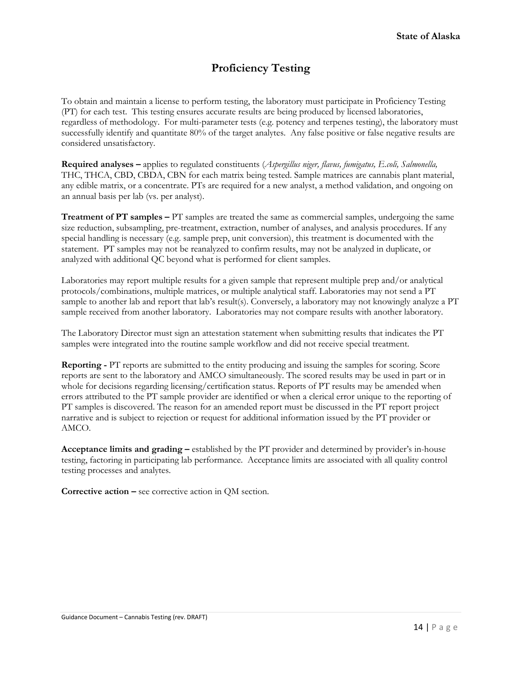## **Proficiency Testing**

To obtain and maintain a license to perform testing, the laboratory must participate in Proficiency Testing (PT) for each test. This testing ensures accurate results are being produced by licensed laboratories, regardless of methodology. For multi-parameter tests (e.g. potency and terpenes testing), the laboratory must successfully identify and quantitate 80% of the target analytes. Any false positive or false negative results are considered unsatisfactory.

**Required analyses –** applies to regulated constituents (*Aspergillus niger, flavus, fumigatus, E.coli, Salmonella,*  THC, THCA, CBD, CBDA, CBN for each matrix being tested. Sample matrices are cannabis plant material, any edible matrix, or a concentrate. PTs are required for a new analyst, a method validation, and ongoing on an annual basis per lab (vs. per analyst).

**Treatment of PT samples –** PT samples are treated the same as commercial samples, undergoing the same size reduction, subsampling, pre-treatment, extraction, number of analyses, and analysis procedures. If any special handling is necessary (e.g. sample prep, unit conversion), this treatment is documented with the statement. PT samples may not be reanalyzed to confirm results, may not be analyzed in duplicate, or analyzed with additional QC beyond what is performed for client samples.

Laboratories may report multiple results for a given sample that represent multiple prep and/or analytical protocols/combinations, multiple matrices, or multiple analytical staff. Laboratories may not send a PT sample to another lab and report that lab's result(s). Conversely, a laboratory may not knowingly analyze a PT sample received from another laboratory. Laboratories may not compare results with another laboratory.

The Laboratory Director must sign an attestation statement when submitting results that indicates the PT samples were integrated into the routine sample workflow and did not receive special treatment.

**Reporting -** PT reports are submitted to the entity producing and issuing the samples for scoring. Score reports are sent to the laboratory and AMCO simultaneously. The scored results may be used in part or in whole for decisions regarding licensing/certification status. Reports of PT results may be amended when errors attributed to the PT sample provider are identified or when a clerical error unique to the reporting of PT samples is discovered. The reason for an amended report must be discussed in the PT report project narrative and is subject to rejection or request for additional information issued by the PT provider or AMCO.

**Acceptance limits and grading –** established by the PT provider and determined by provider's in-house testing, factoring in participating lab performance. Acceptance limits are associated with all quality control testing processes and analytes.

**Corrective action –** see corrective action in QM section.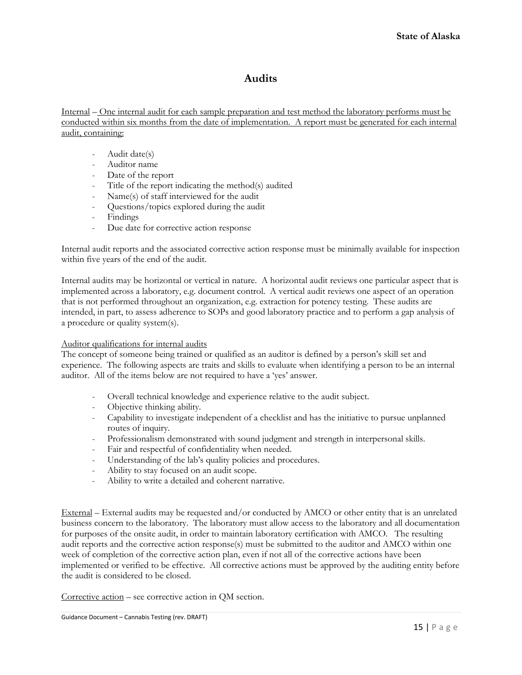### **Audits**

Internal – One internal audit for each sample preparation and test method the laboratory performs must be conducted within six months from the date of implementation. A report must be generated for each internal audit, containing:

- Audit date(s)
- Auditor name
- Date of the report
- Title of the report indicating the method(s) audited
- Name(s) of staff interviewed for the audit
- Questions/topics explored during the audit
- Findings
- Due date for corrective action response

Internal audit reports and the associated corrective action response must be minimally available for inspection within five years of the end of the audit.

Internal audits may be horizontal or vertical in nature. A horizontal audit reviews one particular aspect that is implemented across a laboratory, e.g. document control. A vertical audit reviews one aspect of an operation that is not performed throughout an organization, e.g. extraction for potency testing. These audits are intended, in part, to assess adherence to SOPs and good laboratory practice and to perform a gap analysis of a procedure or quality system(s).

#### Auditor qualifications for internal audits

The concept of someone being trained or qualified as an auditor is defined by a person's skill set and experience. The following aspects are traits and skills to evaluate when identifying a person to be an internal auditor. All of the items below are not required to have a 'yes' answer.

- Overall technical knowledge and experience relative to the audit subject.
- Objective thinking ability.
- Capability to investigate independent of a checklist and has the initiative to pursue unplanned routes of inquiry.
- Professionalism demonstrated with sound judgment and strength in interpersonal skills.
- Fair and respectful of confidentiality when needed.
- Understanding of the lab's quality policies and procedures.
- Ability to stay focused on an audit scope.
- Ability to write a detailed and coherent narrative.

External – External audits may be requested and/or conducted by AMCO or other entity that is an unrelated business concern to the laboratory. The laboratory must allow access to the laboratory and all documentation for purposes of the onsite audit, in order to maintain laboratory certification with AMCO. The resulting audit reports and the corrective action response(s) must be submitted to the auditor and AMCO within one week of completion of the corrective action plan, even if not all of the corrective actions have been implemented or verified to be effective. All corrective actions must be approved by the auditing entity before the audit is considered to be closed.

Corrective action – see corrective action in QM section.